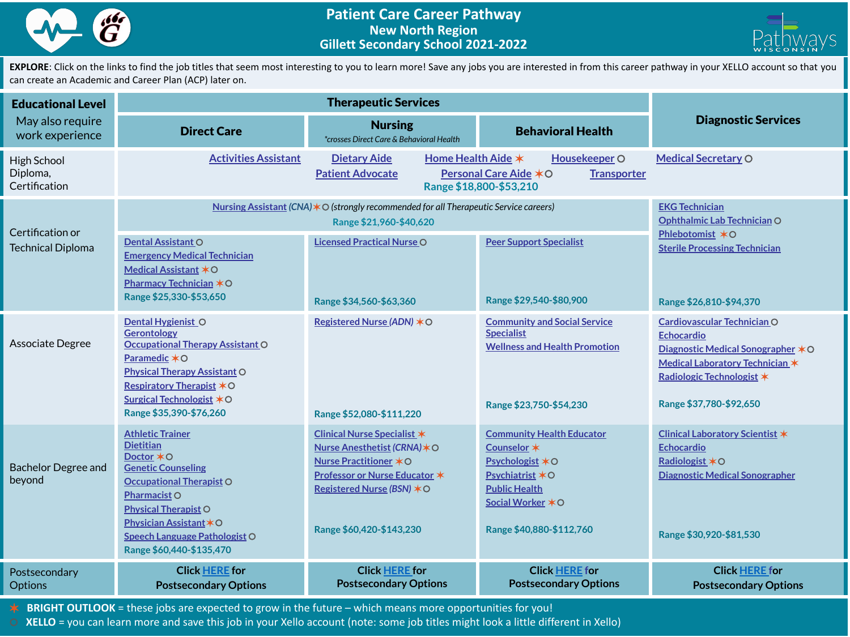



EXPLORE: Click on the links to find the job titles that seem most interesting to you to learn more! Save any jobs you are interested in from this career pathway in your XELLO account so that you can create an Academic and Career Plan (ACP) later on.

| <b>Educational Level</b><br>May also require<br>work experience |                                                                                                                                                                                                                                                                       |                                                                                                                                                                                                          |                                                                                                                                                                   |                                                                                                                                                                                  |
|-----------------------------------------------------------------|-----------------------------------------------------------------------------------------------------------------------------------------------------------------------------------------------------------------------------------------------------------------------|----------------------------------------------------------------------------------------------------------------------------------------------------------------------------------------------------------|-------------------------------------------------------------------------------------------------------------------------------------------------------------------|----------------------------------------------------------------------------------------------------------------------------------------------------------------------------------|
|                                                                 | <b>Direct Care</b>                                                                                                                                                                                                                                                    | <b>Nursing</b><br>*crosses Direct Care & Behavioral Health                                                                                                                                               | <b>Behavioral Health</b>                                                                                                                                          | <b>Diagnostic Services</b>                                                                                                                                                       |
| <b>High School</b><br>Diploma,<br>Certification                 | <b>Activities Assistant</b>                                                                                                                                                                                                                                           | Home Health Aide *<br><b>Dietary Aide</b><br><b>Patient Advocate</b>                                                                                                                                     | Housekeeper O<br>Personal Care Aide *O<br><b>Transporter</b><br>Range \$18,800-\$53,210                                                                           | <b>Medical Secretary O</b>                                                                                                                                                       |
| Certification or<br><b>Technical Diploma</b>                    | Nursing Assistant (CNA) $*$ O (strongly recommended for all Therapeutic Service careers)                                                                                                                                                                              | <b>EKG Technician</b><br>Ophthalmic Lab Technician O                                                                                                                                                     |                                                                                                                                                                   |                                                                                                                                                                                  |
|                                                                 | Dental Assistant O<br><b>Emergency Medical Technician</b><br>Medical Assistant *O<br>Pharmacy Technician *O<br>Range \$25,330-\$53,650                                                                                                                                | <b>Licensed Practical Nurse O</b><br>Range \$34,560-\$63,360                                                                                                                                             | <b>Peer Support Specialist</b><br>Range \$29,540-\$80,900                                                                                                         | Phlebotomist *O<br><b>Sterile Processing Technician</b><br>Range \$26,810-\$94,370                                                                                               |
| Associate Degree                                                | Dental Hygienist O<br><b>Gerontology</b><br><b>Occupational Therapy Assistant O</b><br>Paramedic $*$ O<br><b>Physical Therapy Assistant O</b><br><b>Respiratory Therapist *O</b><br><b>Surgical Technologist *O</b><br>Range \$35,390-\$76,260                        | Registered Nurse (ADN) * O<br>Range \$52,080-\$111,220                                                                                                                                                   | <b>Community and Social Service</b><br><b>Specialist</b><br><b>Wellness and Health Promotion</b><br>Range \$23,750-\$54,230                                       | Cardiovascular Technician O<br><b>Echocardio</b><br>Diagnostic Medical Sonographer *O<br>Medical Laboratory Technician *<br>Radiologic Technologist *<br>Range \$37,780-\$92,650 |
| <b>Bachelor Degree and</b><br>beyond                            | <b>Athletic Trainer</b><br><b>Dietitian</b><br>Doctor *O<br><b>Genetic Counseling</b><br><b>Occupational Therapist O</b><br>Pharmacist O<br><b>Physical Therapist O</b><br><b>Physician Assistant *O</b><br>Speech Language Pathologist O<br>Range \$60,440-\$135,470 | <b>Clinical Nurse Specialist *</b><br>Nurse Anesthetist (CRNA) $*$ O<br><b>Nurse Practitioner *O</b><br><b>Professor or Nurse Educator *</b><br>Registered Nurse (BSN) $*$ O<br>Range \$60,420-\$143,230 | <b>Community Health Educator</b><br>Counselor *<br>Psychologist *O<br>Psychiatrist $*$ O<br><b>Public Health</b><br>Social Worker * O<br>Range \$40,880-\$112,760 | Clinical Laboratory Scientist *<br><b>Echocardio</b><br>Radiologist *O<br><b>Diagnostic Medical Sonographer</b><br>Range \$30,920-\$81,530                                       |
| Postsecondary<br><b>Options</b>                                 | <b>Click HERE for</b><br><b>Postsecondary Options</b>                                                                                                                                                                                                                 | <b>Click HERE for</b><br><b>Postsecondary Options</b>                                                                                                                                                    | <b>Click HERE for</b><br><b>Postsecondary Options</b>                                                                                                             | <b>Click HERE for</b><br><b>Postsecondary Options</b>                                                                                                                            |

✶ **BRIGHT OUTLOOK** = these jobs are expected to grow in the future – which means more opportunities for you!

⚪ **XELLO** = you can learn more and save this job in your Xello account (note: some job titles might look a little different in Xello)